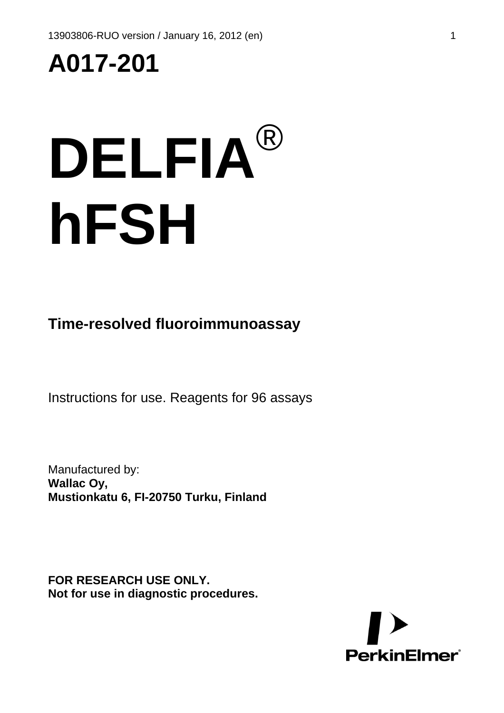## **A017-201**

# **DELFIA**® **hFSH**

**Time-resolved fluoroimmunoassay** 

Instructions for use. Reagents for 96 assays

Manufactured by: **Wallac Oy, Mustionkatu 6, FI-20750 Turku, Finland**

**FOR RESEARCH USE ONLY. Not for use in diagnostic procedures.** 

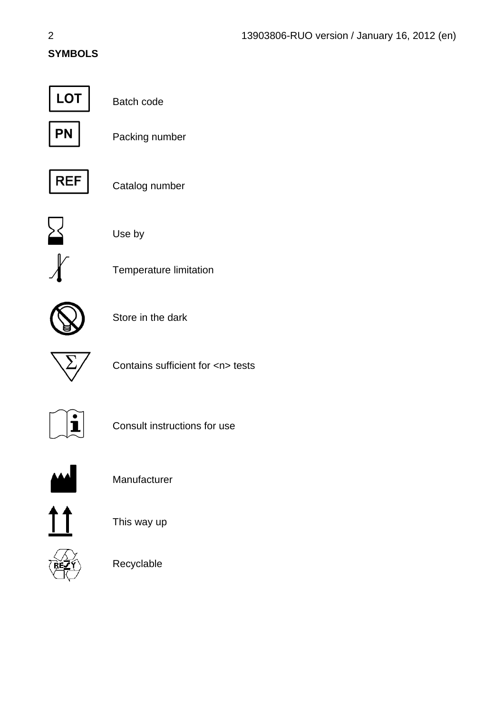#### **SYMBOLS**



Batch code



Packing number



Catalog number



Use by



Temperature limitation



Store in the dark



Contains sufficient for <n> tests



Consult instructions for use



Manufacturer







Recyclable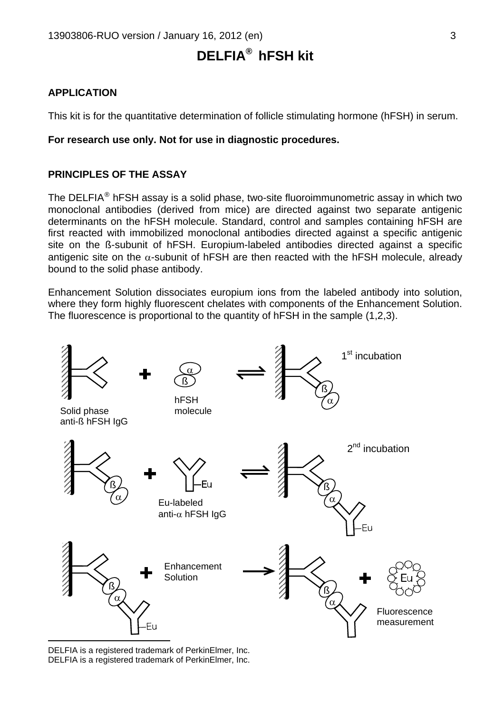### **DELFIA®**  **hFSH kit**

#### **APPLICATION**

This kit is for the quantitative determination of follicle stimulating hormone (hFSH) in serum.

#### **For research use only. Not for use in diagnostic procedures.**

#### **PRINCIPLES OF THE ASSAY**

The DELFIA<sup>[®](#page-2-1)</sup> hFSH assay is a solid phase, two-site fluoroimmunometric assay in which two monoclonal antibodies (derived from mice) are directed against two separate antigenic determinants on the hFSH molecule. Standard, control and samples containing hFSH are first reacted with immobilized monoclonal antibodies directed against a specific antigenic site on the ß-subunit of hFSH. Europium-labeled antibodies directed against a specific antigenic site on the  $\alpha$ -subunit of hFSH are then reacted with the hFSH molecule, already bound to the solid phase antibody.

Enhancement Solution dissociates europium ions from the labeled antibody into solution, where they form highly fluorescent chelates with components of the Enhancement Solution. The fluorescence is proportional to the quantity of hFSH in the sample (1,2,3).



<span id="page-2-1"></span><span id="page-2-0"></span>DELFIA is a registered trademark of PerkinElmer, Inc. DELFIA is a registered trademark of PerkinElmer, Inc.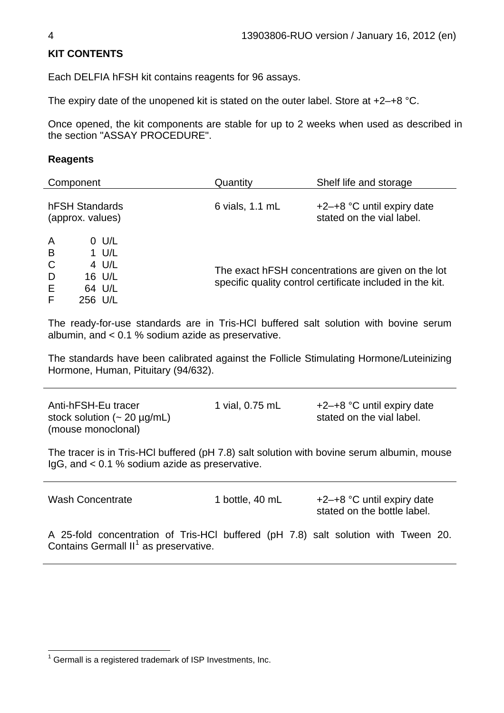#### **KIT CONTENTS**

Each DELFIA hFSH kit contains reagents for 96 assays.

The expiry date of the unopened kit is stated on the outer label. Store at +2–+8 °C.

Once opened, the kit components are stable for up to 2 weeks when used as described in the section "ASSAY PROCEDURE".

#### **Reagents**

| Component                                                                                                        | Quantity        | Shelf life and storage                                                                                          |
|------------------------------------------------------------------------------------------------------------------|-----------------|-----------------------------------------------------------------------------------------------------------------|
| hFSH Standards<br>(approx. values)                                                                               | 6 vials, 1.1 mL | $+2-+8$ °C until expiry date<br>stated on the vial label.                                                       |
| $\overline{A}$<br>$0$ U/L<br>B<br>$1$ U/L<br>$\mathsf{C}$<br>4 U/L<br>D<br>16 U/L<br>E<br>64 U/L<br>F<br>256 U/L |                 | The exact hFSH concentrations are given on the lot<br>specific quality control certificate included in the kit. |

The ready-for-use standards are in Tris-HCl buffered salt solution with bovine serum albumin, and < 0.1 % sodium azide as preservative.

The standards have been calibrated against the Follicle Stimulating Hormone/Luteinizing Hormone, Human, Pituitary (94/632).

Anti-hFSH-Eu tracer stock solution  $($  - 20  $\mu$ g/mL) (mouse monoclonal)

1 vial,  $0.75$  mL  $+2-+8$  °C until expiry date stated on the vial label.

The tracer is in Tris-HCl buffered (pH 7.8) salt solution with bovine serum albumin, mouse IgG, and < 0.1 % sodium azide as preservative.

| <b>Wash Concentrate</b>                                                                                                                 | 1 bottle, 40 mL |  | $+2-+8$ °C until expiry date<br>stated on the bottle label. |  |  |  |
|-----------------------------------------------------------------------------------------------------------------------------------------|-----------------|--|-------------------------------------------------------------|--|--|--|
| A 25-fold concentration of Tris-HCI buffered (pH 7.8) salt solution with Tween 20.<br>Contains Germall II <sup>1</sup> as preservative. |                 |  |                                                             |  |  |  |

<span id="page-3-0"></span>l  $1$  Germall is a registered trademark of ISP Investments, Inc.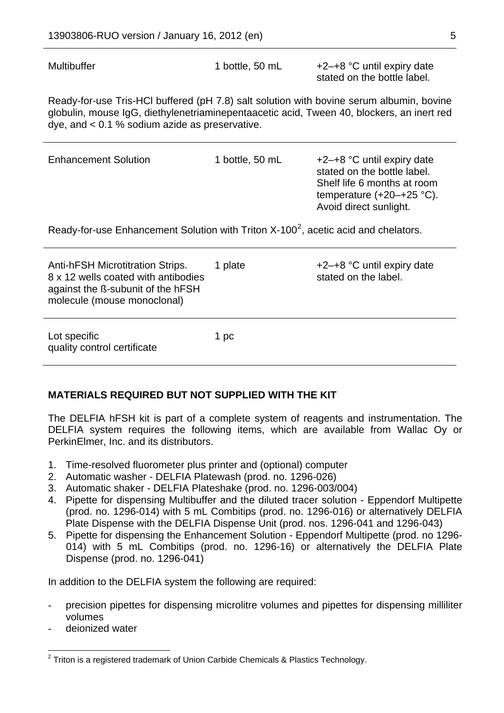Multibuffer 1 bottle, 50 mL +2-+8 °C until expiry date stated on the bottle label.

Ready-for-use Tris-HCl buffered (pH 7.8) salt solution with bovine serum albumin, bovine globulin, mouse IgG, diethylenetriaminepentaacetic acid, Tween 40, blockers, an inert red dye, and < 0.1 % sodium azide as preservative.

| <b>Enhancement Solution</b>                                                                                                                        | 1 bottle, 50 mL | $+2-+8$ °C until expiry date<br>stated on the bottle label.<br>Shelf life 6 months at room<br>temperature $(+20 + 25$ °C).<br>Avoid direct sunlight. |  |  |  |  |
|----------------------------------------------------------------------------------------------------------------------------------------------------|-----------------|------------------------------------------------------------------------------------------------------------------------------------------------------|--|--|--|--|
| Ready-for-use Enhancement Solution with Triton $X-100^2$ , acetic acid and chelators.                                                              |                 |                                                                                                                                                      |  |  |  |  |
| <b>Anti-hFSH Microtitration Strips.</b><br>8 x 12 wells coated with antibodies<br>against the B-subunit of the hFSH<br>molecule (mouse monoclonal) | 1 plate         | $+2-+8$ °C until expiry date<br>stated on the label.                                                                                                 |  |  |  |  |
| Lot specific<br>quality control certificate                                                                                                        | 1 pc            |                                                                                                                                                      |  |  |  |  |

#### **MATERIALS REQUIRED BUT NOT SUPPLIED WITH THE KIT**

The DELFIA hFSH kit is part of a complete system of reagents and instrumentation. The DELFIA system requires the following items, which are available from Wallac Oy or PerkinElmer, Inc. and its distributors.

- 1. Time-resolved fluorometer plus printer and (optional) computer
- 2. Automatic washer DELFIA Platewash (prod. no. 1296-026)
- 3. Automatic shaker DELFIA Plateshake (prod. no. 1296-003/004)
- 4. Pipette for dispensing Multibuffer and the diluted tracer solution Eppendorf Multipette (prod. no. 1296-014) with 5 mL Combitips (prod. no. 1296-016) or alternatively DELFIA Plate Dispense with the DELFIA Dispense Unit (prod. nos. 1296-041 and 1296-043)
- 5. Pipette for dispensing the Enhancement Solution Eppendorf Multipette (prod. no 1296- 014) with 5 mL Combitips (prod. no. 1296-16) or alternatively the DELFIA Plate Dispense (prod. no. 1296-041)

In addition to the DELFIA system the following are required:

- precision pipettes for dispensing microlitre volumes and pipettes for dispensing milliliter volumes
- deionized water

<span id="page-4-0"></span> 2 Triton is a registered trademark of Union Carbide Chemicals & Plastics Technology.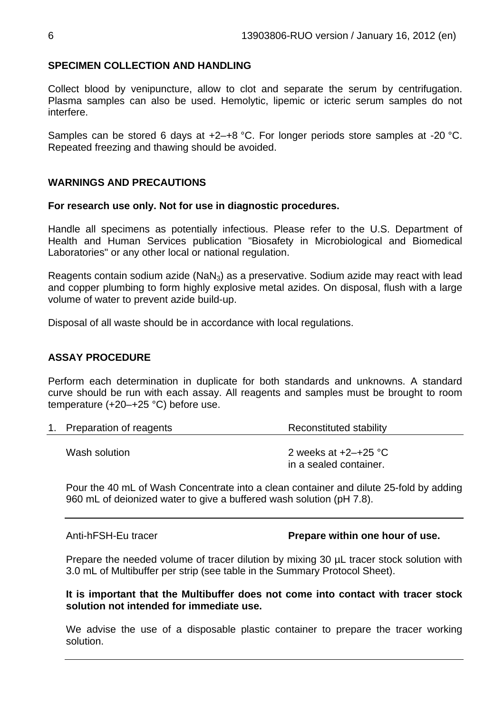#### **SPECIMEN COLLECTION AND HANDLING**

Collect blood by venipuncture, allow to clot and separate the serum by centrifugation. Plasma samples can also be used. Hemolytic, lipemic or icteric serum samples do not interfere.

Samples can be stored 6 days at +2–+8 °C. For longer periods store samples at -20 °C. Repeated freezing and thawing should be avoided.

#### **WARNINGS AND PRECAUTIONS**

#### **For research use only. Not for use in diagnostic procedures.**

Handle all specimens as potentially infectious. Please refer to the U.S. Department of Health and Human Services publication "Biosafety in Microbiological and Biomedical Laboratories" or any other local or national regulation.

Reagents contain sodium azide  $(NaN<sub>3</sub>)$  as a preservative. Sodium azide may react with lead and copper plumbing to form highly explosive metal azides. On disposal, flush with a large volume of water to prevent azide build-up.

Disposal of all waste should be in accordance with local regulations.

#### **ASSAY PROCEDURE**

Perform each determination in duplicate for both standards and unknowns. A standard curve should be run with each assay. All reagents and samples must be brought to room temperature (+20–+25 °C) before use.

| 1. Preparation of reagents | Reconstituted stability                              |  |  |  |
|----------------------------|------------------------------------------------------|--|--|--|
| Wash solution              | 2 weeks at $+2$ - $+25$ °C<br>in a sealed container. |  |  |  |

Pour the 40 mL of Wash Concentrate into a clean container and dilute 25-fold by adding 960 mL of deionized water to give a buffered wash solution (pH 7.8).

Anti-hFSH-Eu tracer **Prepare within one hour of use.** 

Prepare the needed volume of tracer dilution by mixing 30  $\mu$ L tracer stock solution with 3.0 mL of Multibuffer per strip (see table in the Summary Protocol Sheet).

**It is important that the Multibuffer does not come into contact with tracer stock solution not intended for immediate use.** 

We advise the use of a disposable plastic container to prepare the tracer working solution.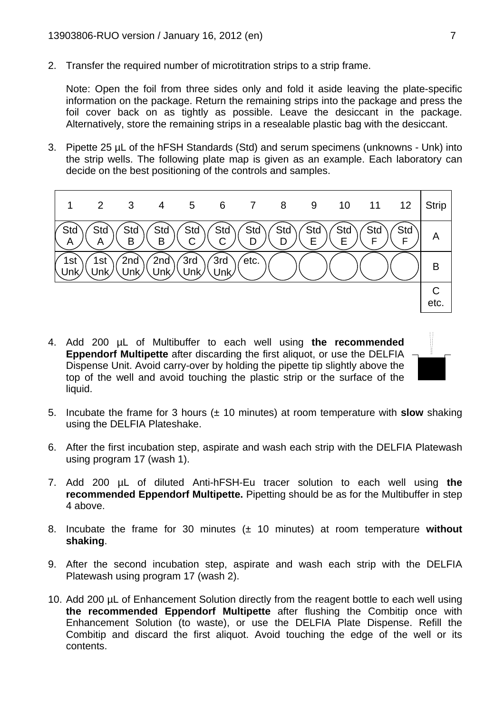2. Transfer the required number of microtitration strips to a strip frame.

Note: Open the foil from three sides only and fold it aside leaving the plate-specific information on the package. Return the remaining strips into the package and press the foil cover back on as tightly as possible. Leave the desiccant in the package. Alternatively, store the remaining strips in a resealable plastic bag with the desiccant.

3. Pipette 25 µL of the hFSH Standards (Std) and serum specimens (unknowns - Unk) into the strip wells. The following plate map is given as an example. Each laboratory can decide on the best positioning of the controls and samples.



- 4. Add 200 µL of Multibuffer to each well using **the recommended Eppendorf Multipette** after discarding the first aliquot, or use the DELFIA Dispense Unit. Avoid carry-over by holding the pipette tip slightly above the top of the well and avoid touching the plastic strip or the surface of the liquid.
- 
- 5. Incubate the frame for 3 hours (± 10 minutes) at room temperature with **slow** shaking using the DELFIA Plateshake.
- 6. After the first incubation step, aspirate and wash each strip with the DELFIA Platewash using program 17 (wash 1).
- 7. Add 200 µL of diluted Anti-hFSH-Eu tracer solution to each well using **the recommended Eppendorf Multipette.** Pipetting should be as for the Multibuffer in step 4 above.
- 8. Incubate the frame for 30 minutes (± 10 minutes) at room temperature **without shaking**.
- 9. After the second incubation step, aspirate and wash each strip with the DELFIA Platewash using program 17 (wash 2).
- 10. Add 200 µL of Enhancement Solution directly from the reagent bottle to each well using **the recommended Eppendorf Multipette** after flushing the Combitip once with Enhancement Solution (to waste), or use the DELFIA Plate Dispense. Refill the Combitip and discard the first aliquot. Avoid touching the edge of the well or its contents.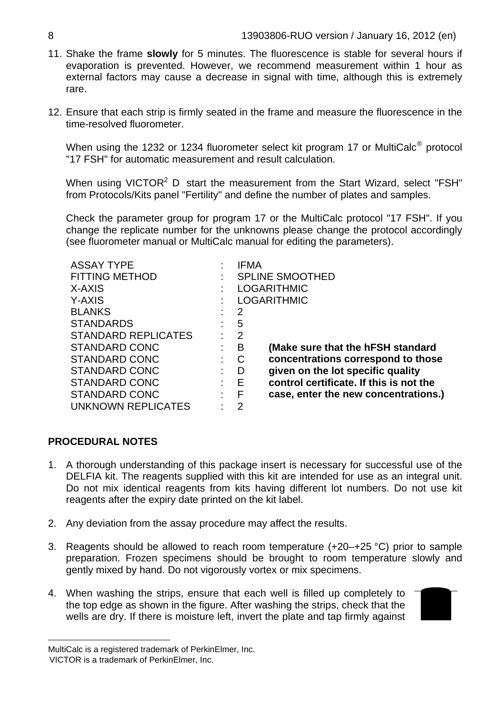- 11. Shake the frame **slowly** for 5 minutes. The fluorescence is stable for several hours if evaporation is prevented. However, we recommend measurement within 1 hour as external factors may cause a decrease in signal with time, although this is extremely rare.
- 12. Ensure that each strip is firmly seated in the frame and measure the fluorescence in the time-resolved fluorometer.

When using the 1232 or 1234 fluorometer select kit program 17 or MultiCalc[®](#page-7-0) protocol "17 FSH" for automatic measurement and result calculation.

When using VICTOR<sup>2</sup> D start the measurement from the Start Wizard, select "FSH" from Protocols/Kits panel "Fertility" and define the number of plates and samples.

Check the parameter group for program 17 or the MultiCalc protocol "17 FSH". If you change the replicate number for the unknowns please change the protocol accordingly (see fluorometer manual or MultiCalc manual for editing the parameters).

| <b>ASSAY TYPE</b>          | <b>IFMA</b>        |                                         |  |  |
|----------------------------|--------------------|-----------------------------------------|--|--|
| <b>FITTING METHOD</b>      |                    | <b>SPLINE SMOOTHED</b>                  |  |  |
| X-AXIS                     | <b>LOGARITHMIC</b> |                                         |  |  |
| Y-AXIS                     | <b>LOGARITHMIC</b> |                                         |  |  |
| <b>BLANKS</b>              | 2                  |                                         |  |  |
| <b>STANDARDS</b>           | 5                  |                                         |  |  |
| <b>STANDARD REPLICATES</b> | $\overline{2}$     |                                         |  |  |
| <b>STANDARD CONC</b>       | B                  | (Make sure that the hFSH standard       |  |  |
| <b>STANDARD CONC</b>       | C                  | concentrations correspond to those      |  |  |
| <b>STANDARD CONC</b>       | D                  | given on the lot specific quality       |  |  |
| <b>STANDARD CONC</b>       | Е                  | control certificate. If this is not the |  |  |
| <b>STANDARD CONC</b>       | F                  | case, enter the new concentrations.)    |  |  |
| UNKNOWN REPLICATES         | 2                  |                                         |  |  |

#### **PROCEDURAL NOTES**

- 1. A thorough understanding of this package insert is necessary for successful use of the DELFIA kit. The reagents supplied with this kit are intended for use as an integral unit. Do not mix identical reagents from kits having different lot numbers. Do not use kit reagents after the expiry date printed on the kit label.
- 2. Any deviation from the assay procedure may affect the results.
- 3. Reagents should be allowed to reach room temperature (+20–+25 °C) prior to sample preparation. Frozen specimens should be brought to room temperature slowly and gently mixed by hand. Do not vigorously vortex or mix specimens.
- 4. When washing the strips, ensure that each well is filled up completely to the top edge as shown in the figure. After washing the strips, check that the wells are dry. If there is moisture left, invert the plate and tap firmly against



 $\overline{a}$ 

<span id="page-7-1"></span><span id="page-7-0"></span>MultiCalc is a registered trademark of PerkinElmer, Inc.

VICTOR is a trademark of PerkinElmer, Inc.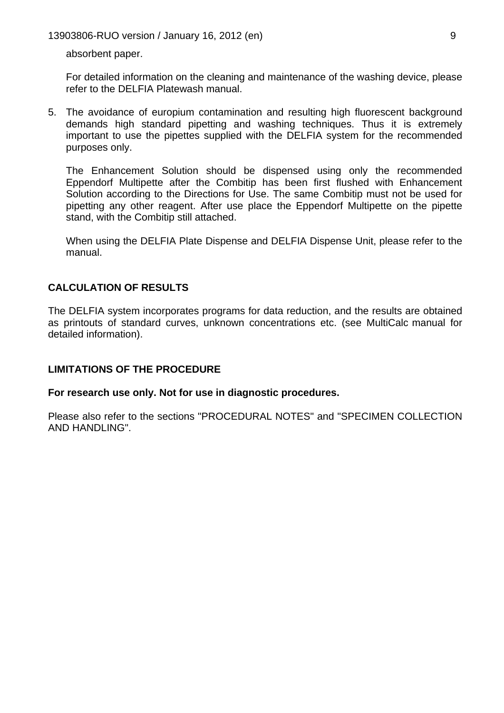13903806-RUO version / January 16, 2012 (en) 9

absorbent paper.

For detailed information on the cleaning and maintenance of the washing device, please refer to the DELFIA Platewash manual.

5. The avoidance of europium contamination and resulting high fluorescent background demands high standard pipetting and washing techniques. Thus it is extremely important to use the pipettes supplied with the DELFIA system for the recommended purposes only.

The Enhancement Solution should be dispensed using only the recommended Eppendorf Multipette after the Combitip has been first flushed with Enhancement Solution according to the Directions for Use. The same Combitip must not be used for pipetting any other reagent. After use place the Eppendorf Multipette on the pipette stand, with the Combitip still attached.

When using the DELFIA Plate Dispense and DELFIA Dispense Unit, please refer to the manual.

#### **CALCULATION OF RESULTS**

The DELFIA system incorporates programs for data reduction, and the results are obtained as printouts of standard curves, unknown concentrations etc. (see MultiCalc manual for detailed information).

#### **LIMITATIONS OF THE PROCEDURE**

**For research use only. Not for use in diagnostic procedures.** 

Please also refer to the sections "PROCEDURAL NOTES" and "SPECIMEN COLLECTION AND HANDLING".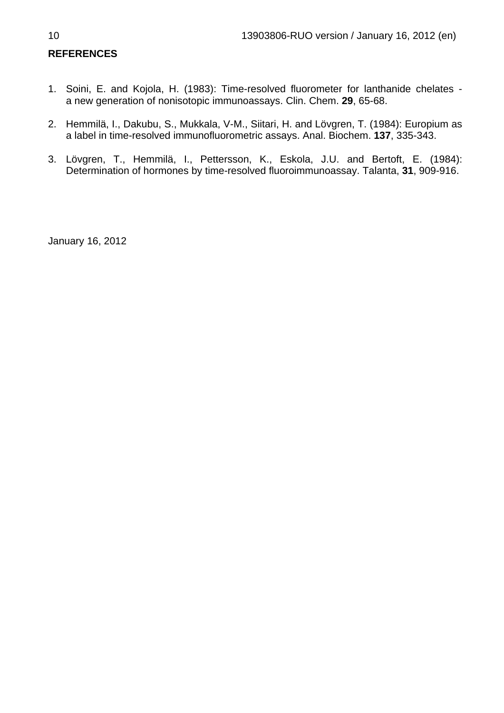#### **REFERENCES**

- 1. Soini, E. and Kojola, H. (1983): Time-resolved fluorometer for lanthanide chelates a new generation of nonisotopic immunoassays. Clin. Chem. **29**, 65-68.
- 2. Hemmilä, I., Dakubu, S., Mukkala, V-M., Siitari, H. and Lövgren, T. (1984): Europium as a label in time-resolved immunofluorometric assays. Anal. Biochem. **137**, 335-343.
- 3. Lövgren, T., Hemmilä, I., Pettersson, K., Eskola, J.U. and Bertoft, E. (1984): Determination of hormones by time-resolved fluoroimmunoassay. Talanta, **31**, 909-916.

January 16, 2012